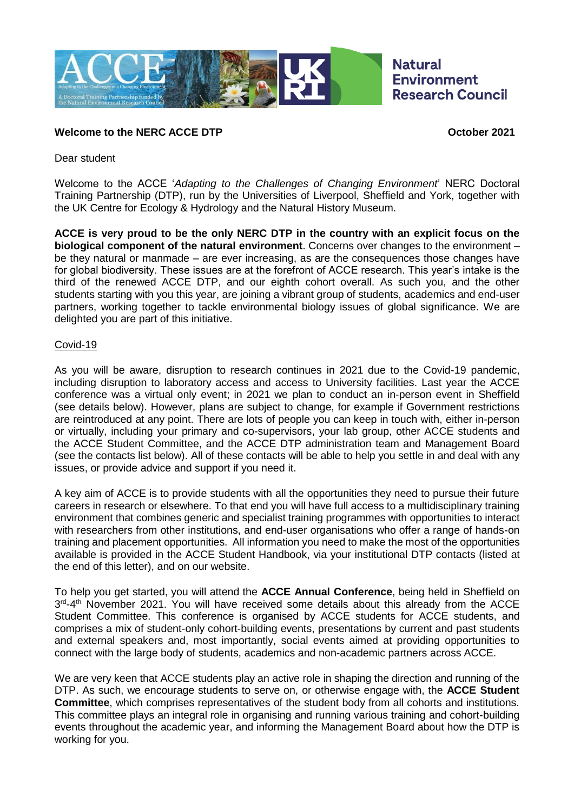

## **Welcome to the NERC ACCE DTP October 2021**

Dear student

Welcome to the ACCE '*Adapting to the Challenges of Changing Environment*' NERC Doctoral Training Partnership (DTP), run by the Universities of Liverpool, Sheffield and York, together with the UK Centre for Ecology & Hydrology and the Natural History Museum.

**ACCE is very proud to be the only NERC DTP in the country with an explicit focus on the biological component of the natural environment**. Concerns over changes to the environment – be they natural or manmade – are ever increasing, as are the consequences those changes have for global biodiversity. These issues are at the forefront of ACCE research. This year's intake is the third of the renewed ACCE DTP, and our eighth cohort overall. As such you, and the other students starting with you this year, are joining a vibrant group of students, academics and end-user partners, working together to tackle environmental biology issues of global significance. We are delighted you are part of this initiative.

## Covid-19

As you will be aware, disruption to research continues in 2021 due to the Covid-19 pandemic, including disruption to laboratory access and access to University facilities. Last year the ACCE conference was a virtual only event; in 2021 we plan to conduct an in-person event in Sheffield (see details below). However, plans are subject to change, for example if Government restrictions are reintroduced at any point. There are lots of people you can keep in touch with, either in-person or virtually, including your primary and co-supervisors, your lab group, other ACCE students and the ACCE Student Committee, and the ACCE DTP administration team and Management Board (see the contacts list below). All of these contacts will be able to help you settle in and deal with any issues, or provide advice and support if you need it.

A key aim of ACCE is to provide students with all the opportunities they need to pursue their future careers in research or elsewhere. To that end you will have full access to a multidisciplinary training environment that combines generic and specialist training programmes with opportunities to interact with researchers from other institutions, and end-user organisations who offer a range of hands-on training and placement opportunities. All information you need to make the most of the opportunities available is provided in the ACCE Student Handbook, via your institutional DTP contacts (listed at the end of this letter), and on our website.

To help you get started, you will attend the **ACCE Annual Conference**, being held in Sheffield on 3<sup>rd</sup>-4<sup>th</sup> November 2021. You will have received some details about this already from the ACCE Student Committee. This conference is organised by ACCE students for ACCE students, and comprises a mix of student-only cohort-building events, presentations by current and past students and external speakers and, most importantly, social events aimed at providing opportunities to connect with the large body of students, academics and non-academic partners across ACCE.

We are very keen that ACCE students play an active role in shaping the direction and running of the DTP. As such, we encourage students to serve on, or otherwise engage with, the **ACCE Student Committee**, which comprises representatives of the student body from all cohorts and institutions. This committee plays an integral role in organising and running various training and cohort-building events throughout the academic year, and informing the Management Board about how the DTP is working for you.